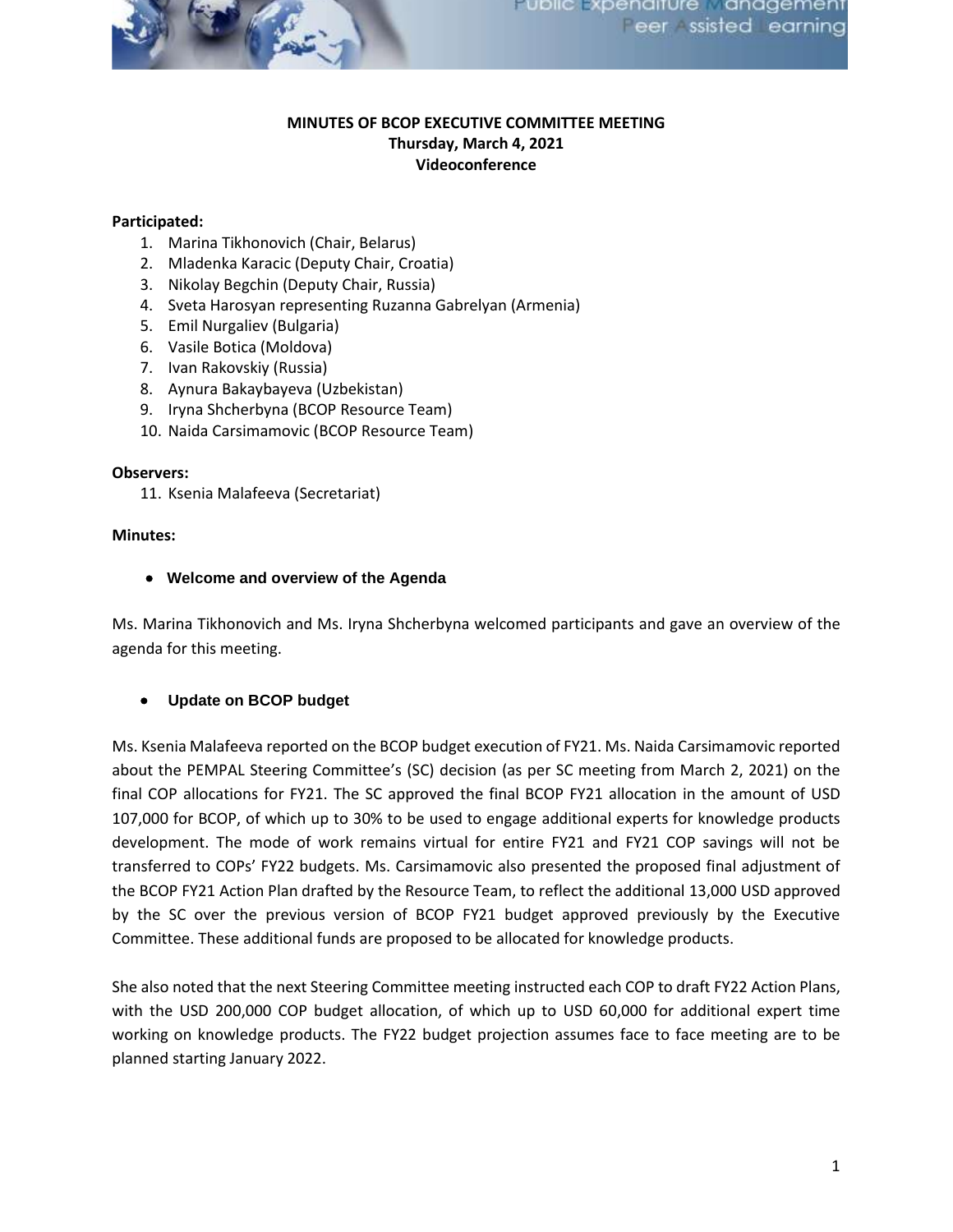

## **MINUTES OF BCOP EXECUTIVE COMMITTEE MEETING Thursday, March 4, 2021 Videoconference**

## **Participated:**

- 1. Marina Tikhonovich (Chair, Belarus)
- 2. Mladenka Karacic (Deputy Chair, Croatia)
- 3. Nikolay Begchin (Deputy Chair, Russia)
- 4. Sveta Harosyan representing Ruzanna Gabrelyan (Armenia)
- 5. Emil Nurgaliev (Bulgaria)
- 6. Vasile Botica (Moldova)
- 7. Ivan Rakovskiy (Russia)
- 8. Aynura Bakaybayeva (Uzbekistan)
- 9. Iryna Shcherbyna (BCOP Resource Team)
- 10. Naida Carsimamovic (BCOP Resource Team)

#### **Observers:**

11. Ksenia Malafeeva (Secretariat)

### **Minutes:**

### • **Welcome and overview of the Agenda**

Ms. Marina Tikhonovich and Ms. Iryna Shcherbyna welcomed participants and gave an overview of the agenda for this meeting.

### • **Update on BCOP budget**

Ms. Ksenia Malafeeva reported on the BCOP budget execution of FY21. Ms. Naida Carsimamovic reported about the PEMPAL Steering Committee's (SC) decision (as per SC meeting from March 2, 2021) on the final COP allocations for FY21. The SC approved the final BCOP FY21 allocation in the amount of USD 107,000 for BCOP, of which up to 30% to be used to engage additional experts for knowledge products development. The mode of work remains virtual for entire FY21 and FY21 COP savings will not be transferred to COPs' FY22 budgets. Ms. Carsimamovic also presented the proposed final adjustment of the BCOP FY21 Action Plan drafted by the Resource Team, to reflect the additional 13,000 USD approved by the SC over the previous version of BCOP FY21 budget approved previously by the Executive Committee. These additional funds are proposed to be allocated for knowledge products.

She also noted that the next Steering Committee meeting instructed each COP to draft FY22 Action Plans, with the USD 200,000 COP budget allocation, of which up to USD 60,000 for additional expert time working on knowledge products. The FY22 budget projection assumes face to face meeting are to be planned starting January 2022.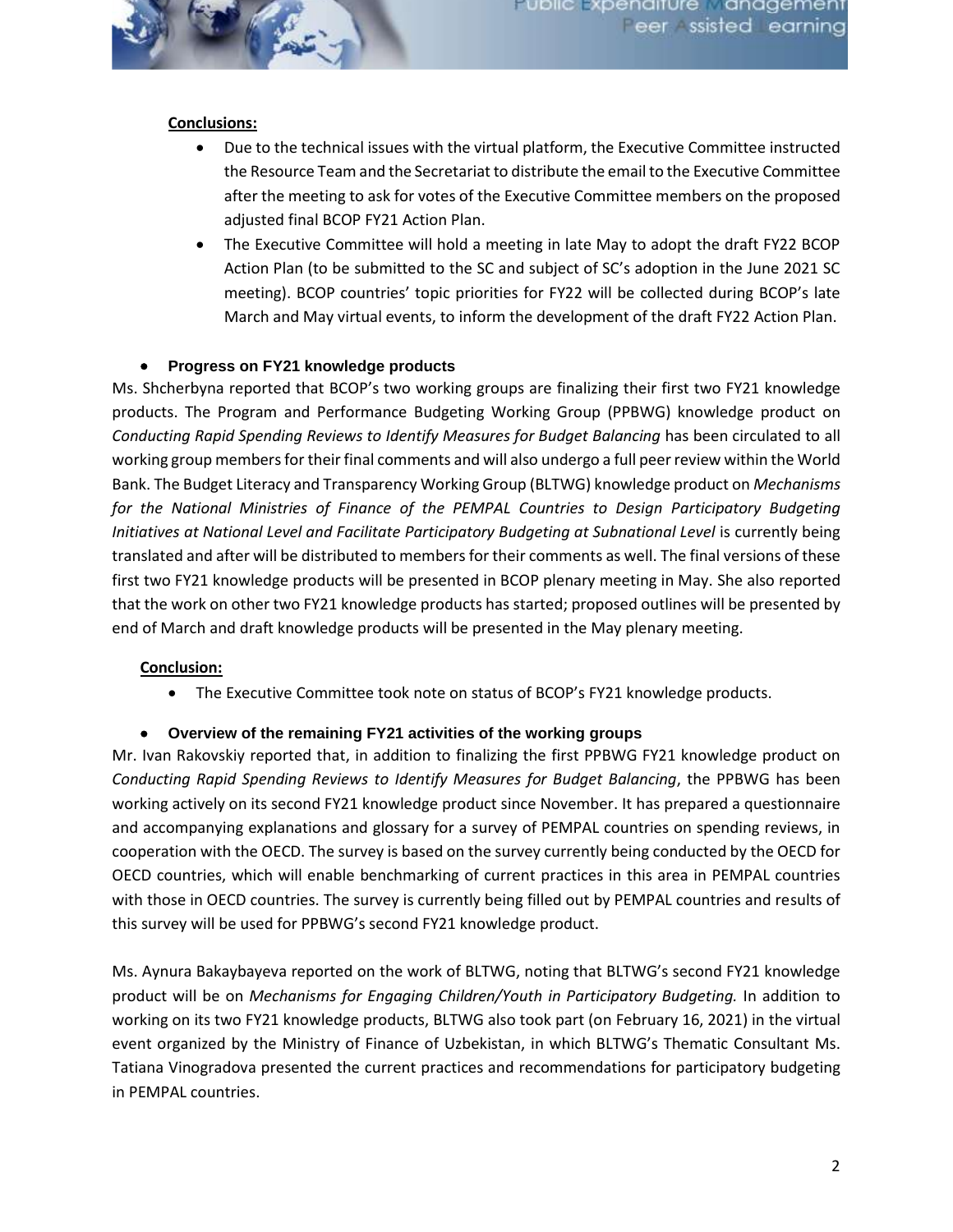

### **Conclusions:**

- Due to the technical issues with the virtual platform, the Executive Committee instructed the Resource Team and the Secretariat to distribute the email to the Executive Committee after the meeting to ask for votes of the Executive Committee members on the proposed adjusted final BCOP FY21 Action Plan.
- The Executive Committee will hold a meeting in late May to adopt the draft FY22 BCOP Action Plan (to be submitted to the SC and subject of SC's adoption in the June 2021 SC meeting). BCOP countries' topic priorities for FY22 will be collected during BCOP's late March and May virtual events, to inform the development of the draft FY22 Action Plan.

## • **Progress on FY21 knowledge products**

Ms. Shcherbyna reported that BCOP's two working groups are finalizing their first two FY21 knowledge products. The Program and Performance Budgeting Working Group (PPBWG) knowledge product on *Conducting Rapid Spending Reviews to Identify Measures for Budget Balancing* has been circulated to all working group members for their final comments and will also undergo a full peer review within the World Bank. The Budget Literacy and Transparency Working Group (BLTWG) knowledge product on *Mechanisms*  for the National Ministries of Finance of the PEMPAL Countries to Design Participatory Budgeting *Initiatives at National Level and Facilitate Participatory Budgeting at Subnational Level* is currently being translated and after will be distributed to members for their comments as well. The final versions of these first two FY21 knowledge products will be presented in BCOP plenary meeting in May. She also reported that the work on other two FY21 knowledge products has started; proposed outlines will be presented by end of March and draft knowledge products will be presented in the May plenary meeting.

### **Conclusion:**

• The Executive Committee took note on status of BCOP's FY21 knowledge products.

### • **Overview of the remaining FY21 activities of the working groups**

Mr. Ivan Rakovskiy reported that, in addition to finalizing the first PPBWG FY21 knowledge product on *Conducting Rapid Spending Reviews to Identify Measures for Budget Balancing*, the PPBWG has been working actively on its second FY21 knowledge product since November. It has prepared a questionnaire and accompanying explanations and glossary for a survey of PEMPAL countries on spending reviews, in cooperation with the OECD. The survey is based on the survey currently being conducted by the OECD for OECD countries, which will enable benchmarking of current practices in this area in PEMPAL countries with those in OECD countries. The survey is currently being filled out by PEMPAL countries and results of this survey will be used for PPBWG's second FY21 knowledge product.

Ms. Aynura Bakaybayeva reported on the work of BLTWG, noting that BLTWG's second FY21 knowledge product will be on *Mechanisms for Engaging Children/Youth in Participatory Budgeting.* In addition to working on its two FY21 knowledge products, BLTWG also took part (on February 16, 2021) in the virtual event organized by the Ministry of Finance of Uzbekistan, in which BLTWG's Thematic Consultant Ms. Tatiana Vinogradova presented the current practices and recommendations for participatory budgeting in PEMPAL countries.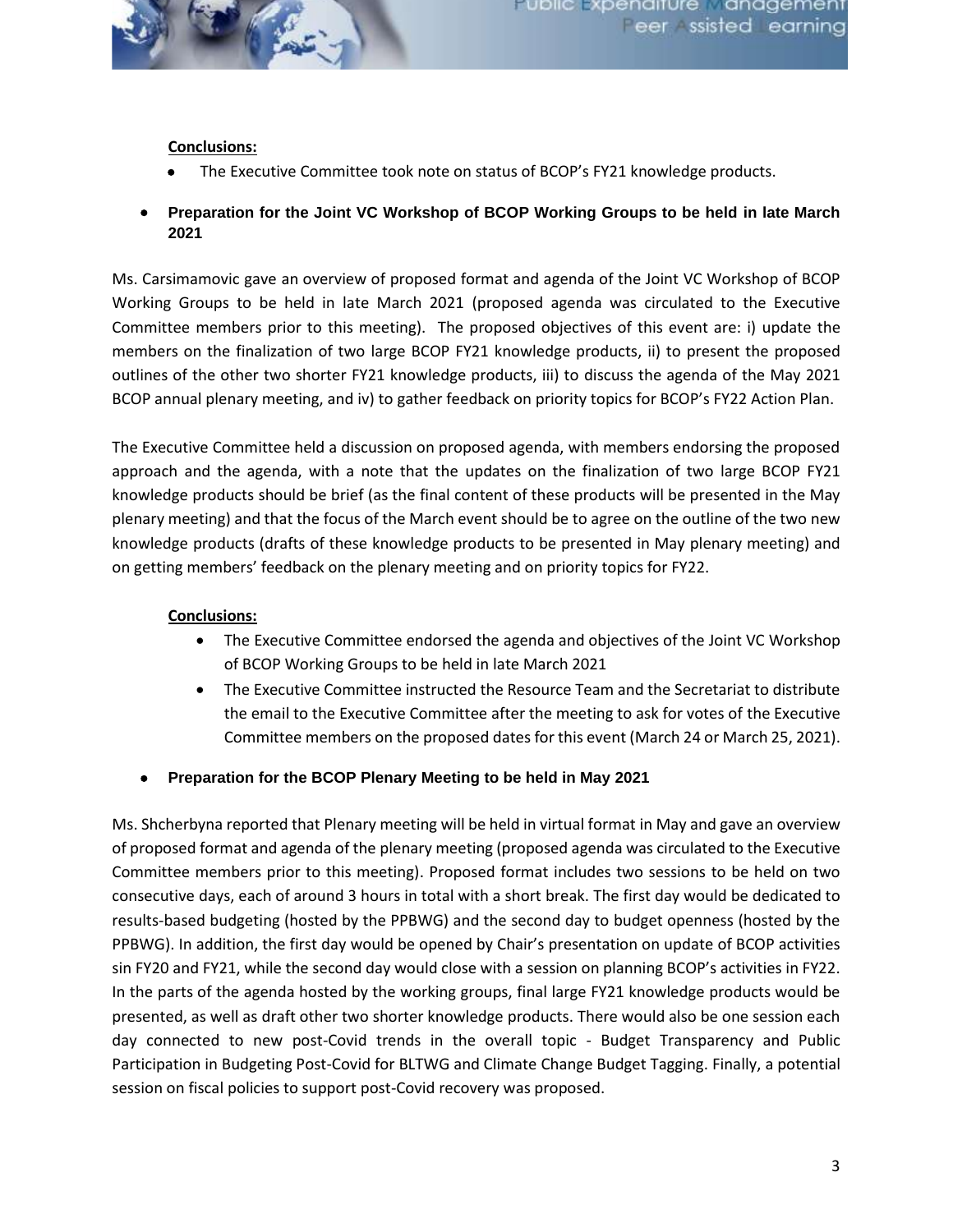

## **Conclusions:**

- The Executive Committee took note on status of BCOP's FY21 knowledge products.
- **Preparation for the Joint VC Workshop of BCOP Working Groups to be held in late March 2021**

Ms. Carsimamovic gave an overview of proposed format and agenda of the Joint VC Workshop of BCOP Working Groups to be held in late March 2021 (proposed agenda was circulated to the Executive Committee members prior to this meeting). The proposed objectives of this event are: i) update the members on the finalization of two large BCOP FY21 knowledge products, ii) to present the proposed outlines of the other two shorter FY21 knowledge products, iii) to discuss the agenda of the May 2021 BCOP annual plenary meeting, and iv) to gather feedback on priority topics for BCOP's FY22 Action Plan.

The Executive Committee held a discussion on proposed agenda, with members endorsing the proposed approach and the agenda, with a note that the updates on the finalization of two large BCOP FY21 knowledge products should be brief (as the final content of these products will be presented in the May plenary meeting) and that the focus of the March event should be to agree on the outline of the two new knowledge products (drafts of these knowledge products to be presented in May plenary meeting) and on getting members' feedback on the plenary meeting and on priority topics for FY22.

## **Conclusions:**

- The Executive Committee endorsed the agenda and objectives of the Joint VC Workshop of BCOP Working Groups to be held in late March 2021
- The Executive Committee instructed the Resource Team and the Secretariat to distribute the email to the Executive Committee after the meeting to ask for votes of the Executive Committee members on the proposed dates for this event (March 24 or March 25, 2021).
- **Preparation for the BCOP Plenary Meeting to be held in May 2021**

Ms. Shcherbyna reported that Plenary meeting will be held in virtual format in May and gave an overview of proposed format and agenda of the plenary meeting (proposed agenda was circulated to the Executive Committee members prior to this meeting). Proposed format includes two sessions to be held on two consecutive days, each of around 3 hours in total with a short break. The first day would be dedicated to results-based budgeting (hosted by the PPBWG) and the second day to budget openness (hosted by the PPBWG). In addition, the first day would be opened by Chair's presentation on update of BCOP activities sin FY20 and FY21, while the second day would close with a session on planning BCOP's activities in FY22. In the parts of the agenda hosted by the working groups, final large FY21 knowledge products would be presented, as well as draft other two shorter knowledge products. There would also be one session each day connected to new post-Covid trends in the overall topic - Budget Transparency and Public Participation in Budgeting Post-Covid for BLTWG and Climate Change Budget Tagging. Finally, a potential session on fiscal policies to support post-Covid recovery was proposed.